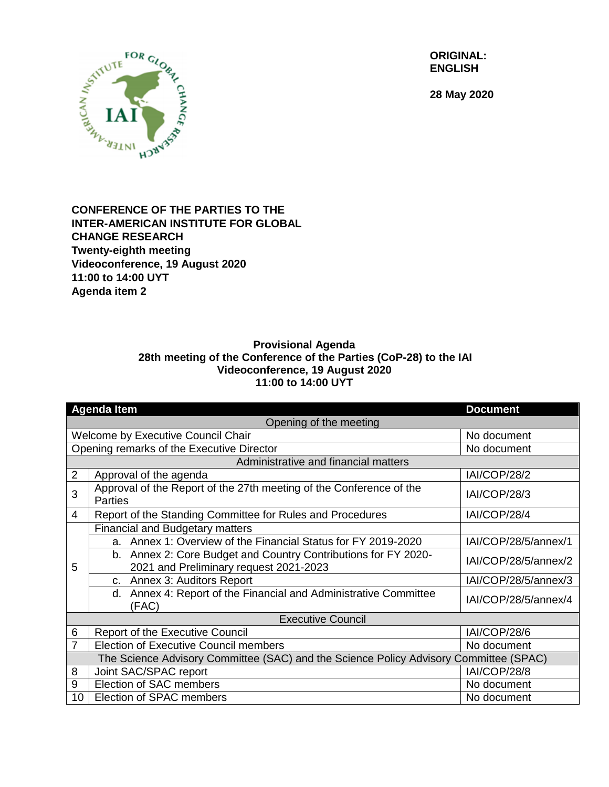

**28 May 2020**



## **CONFERENCE OF THE PARTIES TO THE INTER-AMERICAN INSTITUTE FOR GLOBAL CHANGE RESEARCH Twenty-eighth meeting Videoconference, 19 August 2020 11:00 to 14:00 UYT Agenda item 2**

## **Provisional Agenda 28th meeting of the Conference of the Parties (CoP-28) to the IAI Videoconference, 19 August 2020 11:00 to 14:00 UYT**

| <b>Agenda Item</b>                                                                    |                                                                                                          | <b>Document</b>      |  |
|---------------------------------------------------------------------------------------|----------------------------------------------------------------------------------------------------------|----------------------|--|
| Opening of the meeting                                                                |                                                                                                          |                      |  |
| Welcome by Executive Council Chair                                                    |                                                                                                          | No document          |  |
| Opening remarks of the Executive Director                                             |                                                                                                          | No document          |  |
| Administrative and financial matters                                                  |                                                                                                          |                      |  |
| $\overline{2}$                                                                        | Approval of the agenda                                                                                   | IAI/COP/28/2         |  |
| 3                                                                                     | Approval of the Report of the 27th meeting of the Conference of the<br><b>Parties</b>                    | <b>IAI/COP/28/3</b>  |  |
| 4                                                                                     | Report of the Standing Committee for Rules and Procedures                                                | IAI/COP/28/4         |  |
| 5                                                                                     | <b>Financial and Budgetary matters</b>                                                                   |                      |  |
|                                                                                       | a. Annex 1: Overview of the Financial Status for FY 2019-2020                                            | IAI/COP/28/5/annex/1 |  |
|                                                                                       | b. Annex 2: Core Budget and Country Contributions for FY 2020-<br>2021 and Preliminary request 2021-2023 | IAI/COP/28/5/annex/2 |  |
|                                                                                       | c. Annex 3: Auditors Report                                                                              | IAI/COP/28/5/annex/3 |  |
|                                                                                       | d. Annex 4: Report of the Financial and Administrative Committee<br>(FAC)                                | IAI/COP/28/5/annex/4 |  |
| <b>Executive Council</b>                                                              |                                                                                                          |                      |  |
| 6                                                                                     | <b>Report of the Executive Council</b>                                                                   | IAI/COP/28/6         |  |
| $\overline{7}$                                                                        | <b>Election of Executive Council members</b>                                                             | No document          |  |
| The Science Advisory Committee (SAC) and the Science Policy Advisory Committee (SPAC) |                                                                                                          |                      |  |
| 8                                                                                     | Joint SAC/SPAC report                                                                                    | IAI/COP/28/8         |  |
| 9                                                                                     | Election of SAC members                                                                                  | No document          |  |
| 10                                                                                    | Election of SPAC members                                                                                 | No document          |  |